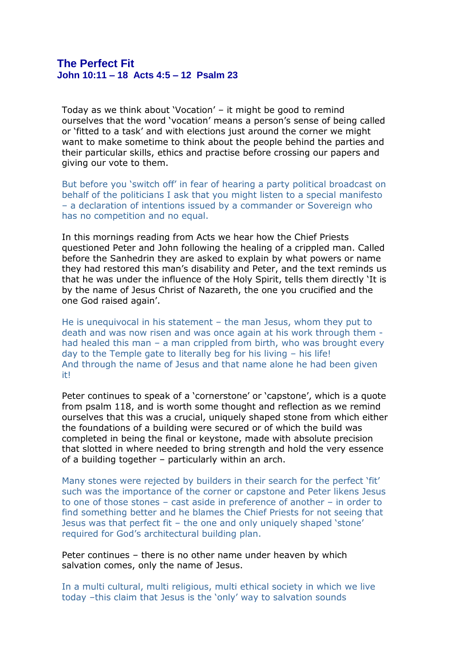## **The Perfect Fit John 10:11 – 18 Acts 4:5 – 12 Psalm 23**

Today as we think about 'Vocation' – it might be good to remind ourselves that the word 'vocation' means a person's sense of being called or 'fitted to a task' and with elections just around the corner we might want to make sometime to think about the people behind the parties and their particular skills, ethics and practise before crossing our papers and giving our vote to them.

But before you 'switch off' in fear of hearing a party political broadcast on behalf of the politicians I ask that you might listen to a special manifesto – a declaration of intentions issued by a commander or Sovereign who has no competition and no equal.

In this mornings reading from Acts we hear how the Chief Priests questioned Peter and John following the healing of a crippled man. Called before the Sanhedrin they are asked to explain by what powers or name they had restored this man's disability and Peter, and the text reminds us that he was under the influence of the Holy Spirit, tells them directly 'It is by the name of Jesus Christ of Nazareth, the one you crucified and the one God raised again'.

He is unequivocal in his statement – the man Jesus, whom they put to death and was now risen and was once again at his work through them had healed this man – a man crippled from birth, who was brought every day to the Temple gate to literally beg for his living – his life! And through the name of Jesus and that name alone he had been given it!

Peter continues to speak of a 'cornerstone' or 'capstone', which is a quote from psalm 118, and is worth some thought and reflection as we remind ourselves that this was a crucial, uniquely shaped stone from which either the foundations of a building were secured or of which the build was completed in being the final or keystone, made with absolute precision that slotted in where needed to bring strength and hold the very essence of a building together – particularly within an arch.

Many stones were rejected by builders in their search for the perfect 'fit' such was the importance of the corner or capstone and Peter likens Jesus to one of those stones – cast aside in preference of another – in order to find something better and he blames the Chief Priests for not seeing that Jesus was that perfect fit – the one and only uniquely shaped 'stone' required for God's architectural building plan.

Peter continues – there is no other name under heaven by which salvation comes, only the name of Jesus.

In a multi cultural, multi religious, multi ethical society in which we live today –this claim that Jesus is the 'only' way to salvation sounds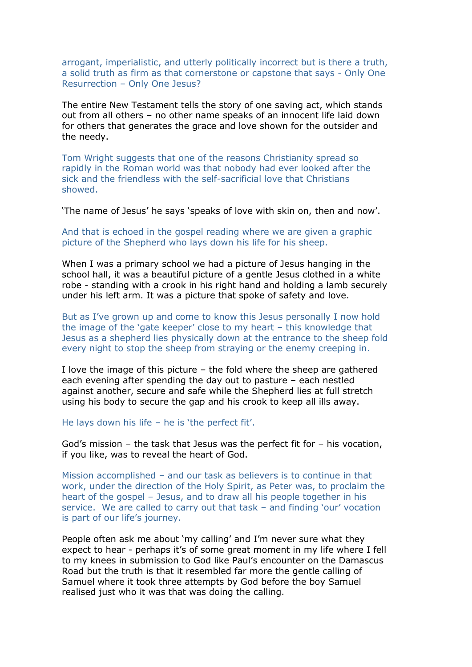arrogant, imperialistic, and utterly politically incorrect but is there a truth, a solid truth as firm as that cornerstone or capstone that says - Only One Resurrection – Only One Jesus?

The entire New Testament tells the story of one saving act, which stands out from all others – no other name speaks of an innocent life laid down for others that generates the grace and love shown for the outsider and the needy.

Tom Wright suggests that one of the reasons Christianity spread so rapidly in the Roman world was that nobody had ever looked after the sick and the friendless with the self-sacrificial love that Christians showed.

'The name of Jesus' he says 'speaks of love with skin on, then and now'.

And that is echoed in the gospel reading where we are given a graphic picture of the Shepherd who lays down his life for his sheep.

When I was a primary school we had a picture of Jesus hanging in the school hall, it was a beautiful picture of a gentle Jesus clothed in a white robe - standing with a crook in his right hand and holding a lamb securely under his left arm. It was a picture that spoke of safety and love.

But as I've grown up and come to know this Jesus personally I now hold the image of the 'gate keeper' close to my heart – this knowledge that Jesus as a shepherd lies physically down at the entrance to the sheep fold every night to stop the sheep from straying or the enemy creeping in.

I love the image of this picture – the fold where the sheep are gathered each evening after spending the day out to pasture – each nestled against another, secure and safe while the Shepherd lies at full stretch using his body to secure the gap and his crook to keep all ills away.

He lays down his life – he is 'the perfect fit'.

God's mission – the task that Jesus was the perfect fit for – his vocation, if you like, was to reveal the heart of God.

Mission accomplished – and our task as believers is to continue in that work, under the direction of the Holy Spirit, as Peter was, to proclaim the heart of the gospel – Jesus, and to draw all his people together in his service. We are called to carry out that task – and finding 'our' vocation is part of our life's journey.

People often ask me about 'my calling' and I'm never sure what they expect to hear - perhaps it's of some great moment in my life where I fell to my knees in submission to God like Paul's encounter on the Damascus Road but the truth is that it resembled far more the gentle calling of Samuel where it took three attempts by God before the boy Samuel realised just who it was that was doing the calling.